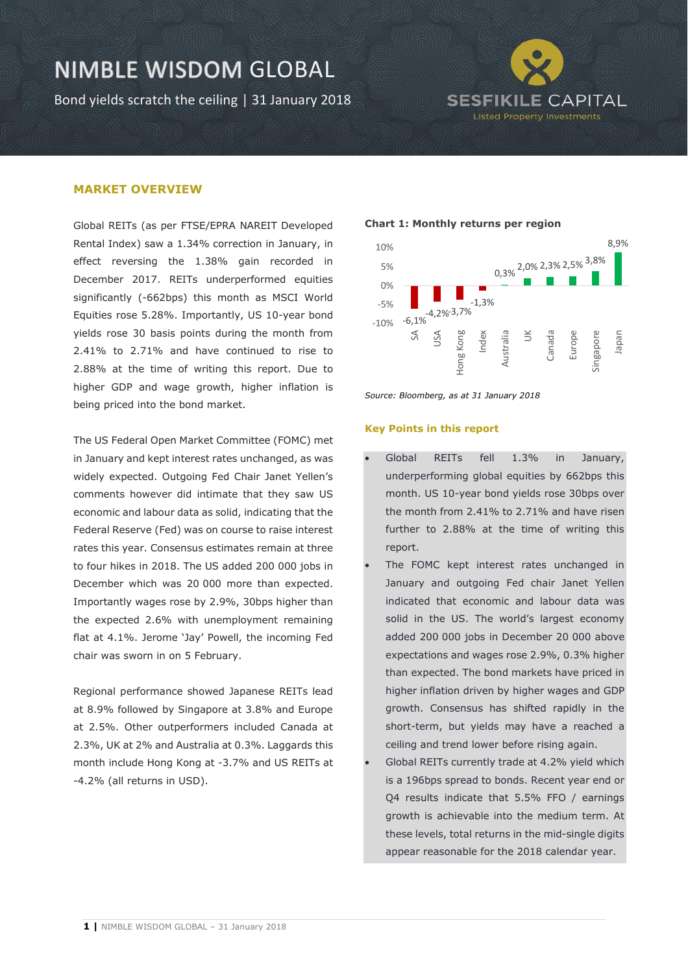Bond yields scratch the ceiling | 31 January 2018



### **MARKET OVERVIEW**

Global REITs (as per FTSE/EPRA NAREIT Developed Rental Index) saw a 1.34% correction in January, in effect reversing the 1.38% gain recorded in December 2017. REITs underperformed equities significantly (-662bps) this month as MSCI World Equities rose 5.28%. Importantly, US 10-year bond yields rose 30 basis points during the month from 2.41% to 2.71% and have continued to rise to 2.88% at the time of writing this report. Due to higher GDP and wage growth, higher inflation is being priced into the bond market.

The US Federal Open Market Committee (FOMC) met in January and kept interest rates unchanged, as was widely expected. Outgoing Fed Chair Janet Yellen's comments however did intimate that they saw US economic and labour data as solid, indicating that the Federal Reserve (Fed) was on course to raise interest rates this year. Consensus estimates remain at three to four hikes in 2018. The US added 200 000 jobs in December which was 20 000 more than expected. Importantly wages rose by 2.9%, 30bps higher than the expected 2.6% with unemployment remaining flat at 4.1%. Jerome 'Jay' Powell, the incoming Fed chair was sworn in on 5 February.

Regional performance showed Japanese REITs lead at 8.9% followed by Singapore at 3.8% and Europe at 2.5%. Other outperformers included Canada at 2.3%, UK at 2% and Australia at 0.3%. Laggards this month include Hong Kong at -3.7% and US REITs at -4.2% (all returns in USD).

#### **Chart 1: Monthly returns per region**



*Source: Bloomberg, as at 31 January 2018*

#### **Key Points in this report**

- Global REITs fell 1.3% in January, underperforming global equities by 662bps this month. US 10-year bond yields rose 30bps over the month from 2.41% to 2.71% and have risen further to 2.88% at the time of writing this report.
- The FOMC kept interest rates unchanged in January and outgoing Fed chair Janet Yellen indicated that economic and labour data was solid in the US. The world's largest economy added 200 000 jobs in December 20 000 above expectations and wages rose 2.9%, 0.3% higher than expected. The bond markets have priced in higher inflation driven by higher wages and GDP growth. Consensus has shifted rapidly in the short-term, but yields may have a reached a ceiling and trend lower before rising again.
- Global REITs currently trade at 4.2% yield which is a 196bps spread to bonds. Recent year end or Q4 results indicate that 5.5% FFO / earnings growth is achievable into the medium term. At these levels, total returns in the mid-single digits appear reasonable for the 2018 calendar year.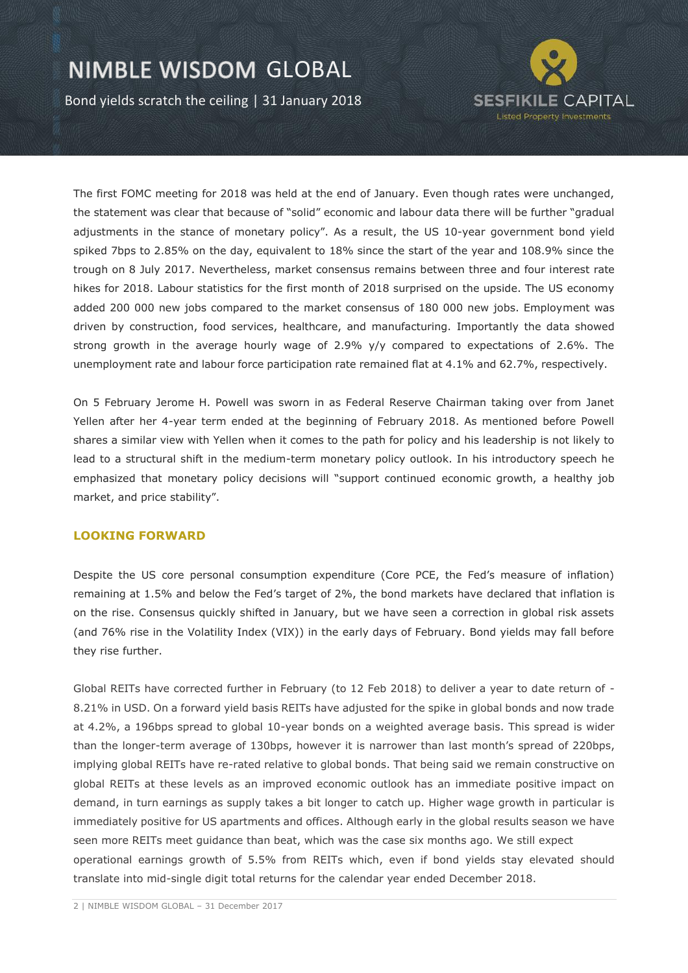Bond yields scratch the ceiling | 31 January 2018



The first FOMC meeting for 2018 was held at the end of January. Even though rates were unchanged, the statement was clear that because of "solid" economic and labour data there will be further "gradual adjustments in the stance of monetary policy". As a result, the US 10-year government bond yield spiked 7bps to 2.85% on the day, equivalent to 18% since the start of the year and 108.9% since the trough on 8 July 2017. Nevertheless, market consensus remains between three and four interest rate hikes for 2018. Labour statistics for the first month of 2018 surprised on the upside. The US economy added 200 000 new jobs compared to the market consensus of 180 000 new jobs. Employment was driven by construction, food services, healthcare, and manufacturing. Importantly the data showed strong growth in the average hourly wage of 2.9% y/y compared to expectations of 2.6%. The unemployment rate and labour force participation rate remained flat at 4.1% and 62.7%, respectively.

On 5 February Jerome H. Powell was sworn in as Federal Reserve Chairman taking over from Janet Yellen after her 4-year term ended at the beginning of February 2018. As mentioned before Powell shares a similar view with Yellen when it comes to the path for policy and his leadership is not likely to lead to a structural shift in the medium-term monetary policy outlook. In his introductory speech he emphasized that monetary policy decisions will "support continued economic growth, a healthy job market, and price stability".

### **LOOKING FORWARD**

Despite the US core personal consumption expenditure (Core PCE, the Fed's measure of inflation) remaining at 1.5% and below the Fed's target of 2%, the bond markets have declared that inflation is on the rise. Consensus quickly shifted in January, but we have seen a correction in global risk assets (and 76% rise in the Volatility Index (VIX)) in the early days of February. Bond yields may fall before they rise further.

Global REITs have corrected further in February (to 12 Feb 2018) to deliver a year to date return of - 8.21% in USD. On a forward yield basis REITs have adjusted for the spike in global bonds and now trade at 4.2%, a 196bps spread to global 10-year bonds on a weighted average basis. This spread is wider than the longer-term average of 130bps, however it is narrower than last month's spread of 220bps, implying global REITs have re-rated relative to global bonds. That being said we remain constructive on global REITs at these levels as an improved economic outlook has an immediate positive impact on demand, in turn earnings as supply takes a bit longer to catch up. Higher wage growth in particular is immediately positive for US apartments and offices. Although early in the global results season we have seen more REITs meet guidance than beat, which was the case six months ago. We still expect operational earnings growth of 5.5% from REITs which, even if bond yields stay elevated should translate into mid-single digit total returns for the calendar year ended December 2018.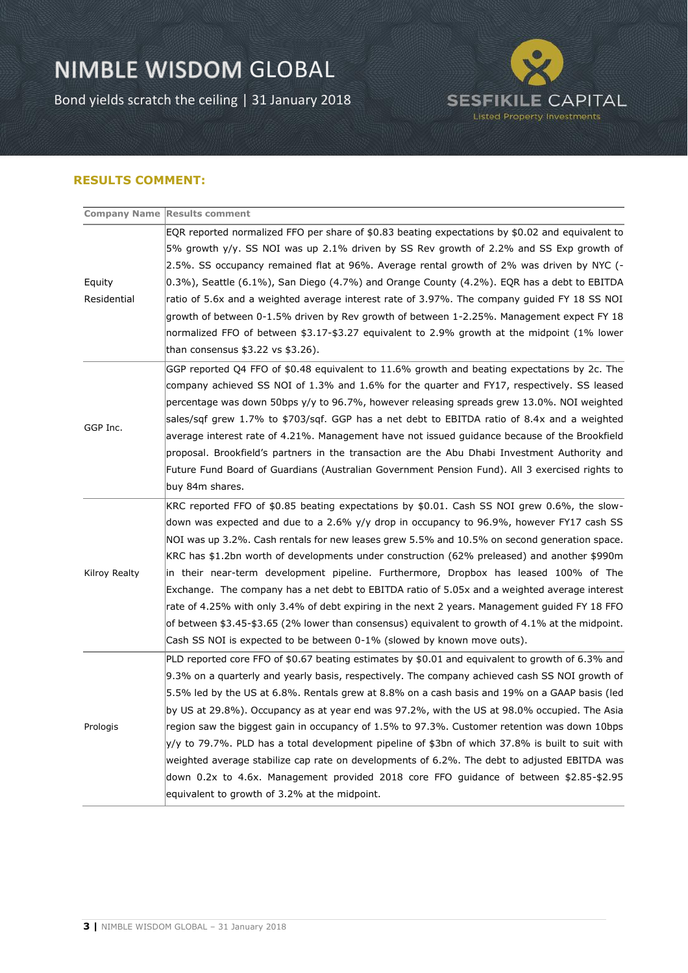Bond yields scratch the ceiling | 31 January 2018



### **RESULTS COMMENT:**

|               | <b>Company Name Results comment</b>                                                                        |
|---------------|------------------------------------------------------------------------------------------------------------|
|               | EQR reported normalized FFO per share of \$0.83 beating expectations by \$0.02 and equivalent to           |
|               | 5% growth y/y. SS NOI was up 2.1% driven by SS Rev growth of 2.2% and SS Exp growth of                     |
|               | 2.5%. SS occupancy remained flat at 96%. Average rental growth of 2% was driven by NYC (-                  |
| Equity        | $(0.3\%)$ , Seattle $(6.1\%)$ , San Diego $(4.7\%)$ and Orange County $(4.2\%)$ . EQR has a debt to EBITDA |
| Residential   | ratio of 5.6x and a weighted average interest rate of 3.97%. The company guided FY 18 SS NOI               |
|               | growth of between 0-1.5% driven by Rev growth of between 1-2.25%. Management expect FY 18                  |
|               | normalized FFO of between \$3.17-\$3.27 equivalent to 2.9% growth at the midpoint (1% lower                |
|               | than consensus $$3.22$ vs $$3.26$ ).                                                                       |
| GGP Inc.      | GGP reported Q4 FFO of \$0.48 equivalent to 11.6% growth and beating expectations by 2c. The               |
|               | company achieved SS NOI of 1.3% and 1.6% for the quarter and FY17, respectively. SS leased                 |
|               | percentage was down 50bps y/y to 96.7%, however releasing spreads grew 13.0%. NOI weighted                 |
|               | sales/sqf grew 1.7% to \$703/sqf. GGP has a net debt to EBITDA ratio of 8.4x and a weighted                |
|               | average interest rate of 4.21%. Management have not issued guidance because of the Brookfield              |
|               | proposal. Brookfield's partners in the transaction are the Abu Dhabi Investment Authority and              |
|               | Future Fund Board of Guardians (Australian Government Pension Fund). All 3 exercised rights to             |
|               | buy 84m shares.                                                                                            |
| Kilroy Realty | KRC reported FFO of \$0.85 beating expectations by \$0.01. Cash SS NOI grew 0.6%, the slow-                |
|               | down was expected and due to a 2.6% y/y drop in occupancy to 96.9%, however FY17 cash SS                   |
|               | NOI was up 3.2%. Cash rentals for new leases grew 5.5% and 10.5% on second generation space.               |
|               | KRC has \$1.2bn worth of developments under construction (62% preleased) and another \$990m                |
|               | in their near-term development pipeline. Furthermore, Dropbox has leased 100% of The                       |
|               | Exchange. The company has a net debt to EBITDA ratio of 5.05x and a weighted average interest              |
|               | rate of 4.25% with only 3.4% of debt expiring in the next 2 years. Management guided FY 18 FFO             |
|               | of between \$3.45-\$3.65 (2% lower than consensus) equivalent to growth of 4.1% at the midpoint.           |
|               | Cash SS NOI is expected to be between 0-1% (slowed by known move outs).                                    |
| Prologis      | PLD reported core FFO of \$0.67 beating estimates by \$0.01 and equivalent to growth of 6.3% and           |
|               | 9.3% on a quarterly and yearly basis, respectively. The company achieved cash SS NOI growth of             |
|               | 5.5% led by the US at 6.8%. Rentals grew at 8.8% on a cash basis and 19% on a GAAP basis (led              |
|               | by US at 29.8%). Occupancy as at year end was 97.2%, with the US at 98.0% occupied. The Asia               |
|               | region saw the biggest gain in occupancy of 1.5% to 97.3%. Customer retention was down 10bps               |
|               | y/y to 79.7%. PLD has a total development pipeline of \$3bn of which 37.8% is built to suit with           |
|               | weighted average stabilize cap rate on developments of 6.2%. The debt to adjusted EBITDA was               |
|               | down 0.2x to 4.6x. Management provided 2018 core FFO guidance of between \$2.85-\$2.95                     |
|               | equivalent to growth of 3.2% at the midpoint.                                                              |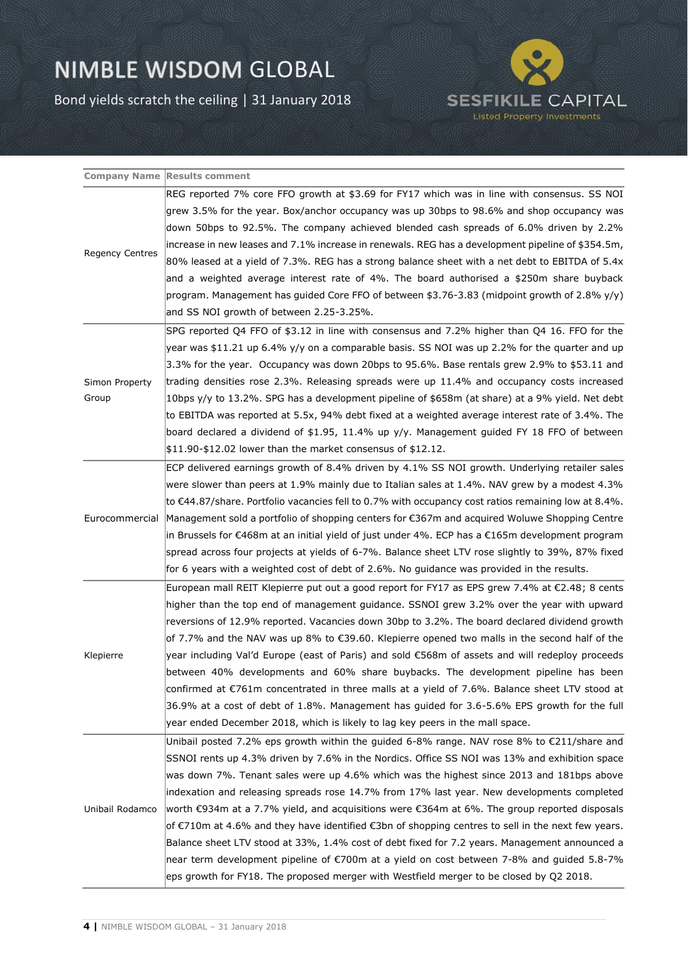Bond yields scratch the ceiling | 31 January 2018



|                         | <b>Company Name Results comment</b>                                                                              |
|-------------------------|------------------------------------------------------------------------------------------------------------------|
| Regency Centres         | REG reported 7% core FFO growth at \$3.69 for FY17 which was in line with consensus. SS NOI                      |
|                         | grew 3.5% for the year. Box/anchor occupancy was up 30bps to 98.6% and shop occupancy was                        |
|                         | down 50bps to 92.5%. The company achieved blended cash spreads of 6.0% driven by 2.2%                            |
|                         | lincrease in new leases and 7.1% increase in renewals. REG has a development pipeline of \$354.5m,               |
|                         | 80% leased at a yield of 7.3%. REG has a strong balance sheet with a net debt to EBITDA of 5.4x                  |
|                         | and a weighted average interest rate of 4%. The board authorised a \$250m share buyback                          |
|                         | program. Management has quided Core FFO of between \$3.76-3.83 (midpoint growth of 2.8% $y/y$ )                  |
|                         | and SS NOI growth of between 2.25-3.25%.                                                                         |
| Simon Property<br>Group | SPG reported Q4 FFO of \$3.12 in line with consensus and 7.2% higher than Q4 16. FFO for the                     |
|                         | year was \$11.21 up 6.4% y/y on a comparable basis. SS NOI was up 2.2% for the quarter and up                    |
|                         | 3.3% for the year. Occupancy was down 20bps to 95.6%. Base rentals grew 2.9% to \$53.11 and                      |
|                         | trading densities rose 2.3%. Releasing spreads were up 11.4% and occupancy costs increased                       |
|                         | 10bps y/y to 13.2%. SPG has a development pipeline of \$658m (at share) at a 9% yield. Net debt                  |
|                         | to EBITDA was reported at 5.5x, 94% debt fixed at a weighted average interest rate of 3.4%. The                  |
|                         | board declared a dividend of \$1.95, 11.4% up $y/y$ . Management guided FY 18 FFO of between                     |
|                         | $$11.90 - $12.02$ lower than the market consensus of \$12.12.                                                    |
|                         | ECP delivered earnings growth of 8.4% driven by 4.1% SS NOI growth. Underlying retailer sales                    |
|                         | were slower than peers at 1.9% mainly due to Italian sales at 1.4%. NAV grew by a modest 4.3%                    |
|                         | to $\epsilon$ 44.87/share. Portfolio vacancies fell to 0.7% with occupancy cost ratios remaining low at 8.4%.    |
| Eurocommercial          | Management sold a portfolio of shopping centers for €367m and acquired Woluwe Shopping Centre                    |
|                         | in Brussels for €468m at an initial yield of just under 4%. ECP has a €165m development program                  |
|                         | spread across four projects at yields of 6-7%. Balance sheet LTV rose slightly to 39%, 87% fixed                 |
|                         | for 6 years with a weighted cost of debt of 2.6%. No guidance was provided in the results.                       |
|                         | European mall REIT Klepierre put out a good report for FY17 as EPS grew 7.4% at €2.48; 8 cents                   |
|                         | higher than the top end of management guidance. SSNOI grew 3.2% over the year with upward                        |
|                         | reversions of 12.9% reported. Vacancies down 30bp to 3.2%. The board declared dividend growth                    |
| Klepierre               | of 7.7% and the NAV was up 8% to $\epsilon$ 39.60. Klepierre opened two malls in the second half of the          |
|                         | year including Val'd Europe (east of Paris) and sold €568m of assets and will redeploy proceeds                  |
|                         | between 40% developments and 60% share buybacks. The development pipeline has been                               |
|                         | confirmed at €761m concentrated in three malls at a yield of 7.6%. Balance sheet LTV stood at                    |
|                         | 36.9% at a cost of debt of 1.8%. Management has guided for 3.6-5.6% EPS growth for the full                      |
|                         | year ended December 2018, which is likely to lag key peers in the mall space.                                    |
| Unibail Rodamco         | Unibail posted 7.2% eps growth within the guided 6-8% range. NAV rose 8% to $\epsilon$ 211/share and             |
|                         | SSNOI rents up 4.3% driven by 7.6% in the Nordics. Office SS NOI was 13% and exhibition space                    |
|                         | was down 7%. Tenant sales were up 4.6% which was the highest since 2013 and 181bps above                         |
|                         | lindexation and releasing spreads rose 14.7% from 17% last year. New developments completed                      |
|                         | worth $\epsilon$ 934m at a 7.7% yield, and acquisitions were $\epsilon$ 364m at 6%. The group reported disposals |
|                         | of €710m at 4.6% and they have identified €3bn of shopping centres to sell in the next few years.                |
|                         | Balance sheet LTV stood at 33%, 1.4% cost of debt fixed for 7.2 years. Management announced a                    |
|                         | near term development pipeline of $\epsilon$ 700m at a yield on cost between 7-8% and guided 5.8-7%              |
|                         | eps growth for FY18. The proposed merger with Westfield merger to be closed by Q2 2018.                          |